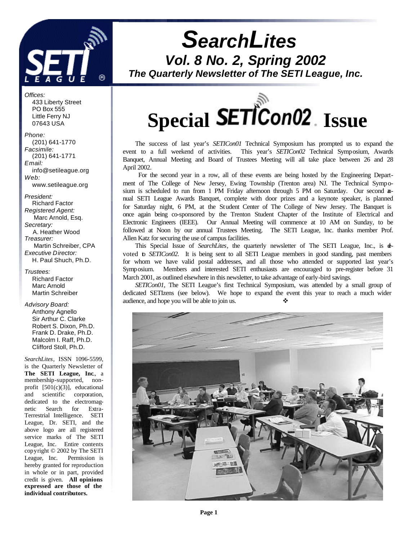

*Offices:* 433 Liberty Street PO Box 555 Little Ferry NJ 07643 USA

*Phone:* (201) 641-1770 *Facsimile:* (201) 641-1771 *Email:* info@setileague.org *Web:* www.setileague.org

*President:* Richard Factor *Registered Agent:*  Marc Arnold, Esq. *Secretary:* A. Heather Wood *Treasurer:*  Martin Schreiber, CPA *Executive Director:* H. Paul Shuch, Ph.D.

*Trustees:* Richard Factor Marc Arnold Martin Schreiber

*Advisory Board:* Anthony Agnello Sir Arthur C. Clarke Robert S. Dixon, Ph.D. Frank D. Drake, Ph.D. Malcolm I. Raff, Ph.D. Clifford Stoll, Ph.D.

*SearchLites*, ISSN 1096-5599, is the Quarterly Newsletter of **The SETI League, Inc**., a membership-supported, nonprofit [501(c)(3)], educational and scientific corporation, dedicated to the electromagnetic Search for Extra-Terrestrial Intelligence. SETI League, Dr. SETI, and the above logo are all registered service marks of The SETI League, Inc. Entire contents copyright © 2002 by The SETI League, Inc. Permission is hereby granted for reproduction in whole or in part, provided credit is given. **All opinions expressed are those of the individual contributors.**

*SearchLites Vol. 8 No. 2, Spring 2002*

*The Quarterly Newsletter of The SETI League, Inc.*



The success of last year's *SETICon01* Technical Symposium has prompted us to expand the event to a full weekend of activities. This year's *SETICon02* Technical Symposium, Awards Banquet, Annual Meeting and Board of Trustees Meeting will all take place between 26 and 28 April 2002.

 For the second year in a row, all of these events are being hosted by the Engineering Department of The College of New Jersey, Ewing Township (Trenton area) NJ. The Technical Symposium is scheduled to run from 1 PM Friday afternoon through 5 PM on Saturday. Our second annual SETI League Awards Banquet, complete with door prizes and a keynote speaker, is planned for Saturday night, 6 PM, at the Student Center of The College of New Jersey. The Banquet is once again being co-sponsored by the Trenton Student Chapter of the Institute of Electrical and Electronic Engineers (IEEE). Our Annual Meeting will commence at 10 AM on Sunday, to be followed at Noon by our annual Trustees Meeting. The SETI League, Inc. thanks member Prof. Allen Katz for securing the use of campus facilities.

This Special Issue of *SearchLites*, the quarterly newsletter of The SETI League, Inc., is devoted to *SETICon02*. It is being sent to all SETI League members in good standing, past members for whom we have valid postal addresses, and all those who attended or supported last year's Symposium. Members and interested SETI enthusiasts are encouraged to pre-register before 31 March 2001, as outlined elsewhere in this newsletter, to take advantage of early-bird savings.

*SETICon01*, The SETI League's first Technical Symposium, was attended by a small group of dedicated SETIzens (see below). We hope to expand the event this year to reach a much wider audience, and hope you will be able to join us.

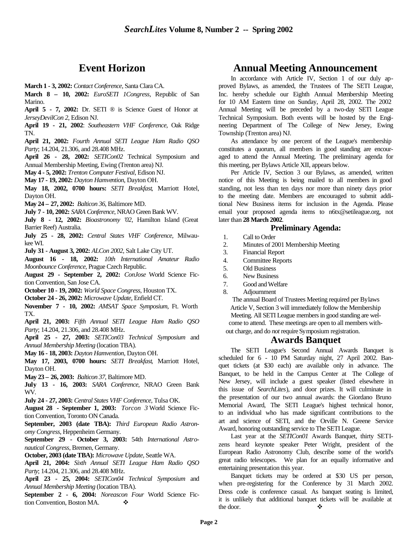# **Event Horizon**

**March 1 - 3, 2002:** *Contact Conference*, Santa Clara CA.

**March 8 – 10, 2002:** *EuroSETI 1Congress*, Republic of San Marino.

**April 5 - 7, 2002:** Dr. SETI ® is Science Guest of Honor at *JerseyDevilCon 2*, Edison NJ.

**April 19 - 21, 2002**: *Southeastern VHF Conference*, Oak Ridge TN.

**April 21, 2002:** *Fourth Annual SETI League Ham Radio QSO Party*; 14.204, 21.306, and 28.408 MHz.

**April 26 - 28, 2002:** *SETICon02* Technical Symposium and Annual Membership Meeting, Ewing (Trenton area) NJ.

**May 4 - 5, 2002:** *Trenton Computer Festival*, Edison NJ.

**May 17 - 19, 2002:** *Dayton Hamvention*, Dayton OH.

**May 18, 2002, 0700 hours:** *SETI Breakfast*, Marriott Hotel, Dayton OH.

**May 24 – 27, 2002:** *Balticon 36*, Baltimore MD.

**July 7 - 10, 2002:** *SARA Conference*, NRAO Green Bank WV.

**July 8 - 12, 2002:** *Bioastronomy '02*, Hamilton Island (Great Barrier Reef) Australia.

**July 25 - 28, 2002:** *Central States VHF Conference*, Milwaukee WI.

**July 31 - August 3, 2002:** *ALCon 2002*, Salt Lake City UT.

**August 16 - 18, 2002:** *10th International Amateur Radio Moonbounce Conference*, Prague Czech Republic.

**August 29 - September 2, 2002:** *ConJose* World Science Fiction Convention, San Jose CA.

**October 10 - 19, 2002:** *World Space Congress*, Houston TX.

**October 24 - 26, 2002:** *Microwave Update*, Enfield CT.

**November 7 - 10, 2002:** *AMSAT Space Symposium*, Ft. Worth TX.

**April 21, 2003:** *Fifth Annual SETI League Ham Radio QSO Party*; 14.204, 21.306, and 28.408 MHz.

**April 25 - 27, 2003:** *SETICon03 Technical Symposium* and *Annual Membership Meeting* (location TBA).

**May 16 - 18, 2003:** *Dayton Hamvention*, Dayton OH.

**May 17, 2003, 0700 hours:** *SETI Breakfast*, Marriott Hotel, Dayton OH.

**May 23 – 26, 2003:** *Balticon 37*, Baltimore MD.

**July 13 - 16, 2003:** *SARA Conference*, NRAO Green Bank WV.

**July 24 - 27, 2003:** *Central States VHF Conference*, Tulsa OK.

**August 28 - September 1, 2003:** *Torcon 3* World Science Fiction Convention, Toronto ON Canada.

**September, 2003 (date TBA):** *Third European Radio Astronomy Congress*, Heppenheim Germany.

**September 29 - October 3, 2003:** 54th *International Astronautical Congress*, Bremen, Germany.

**October, 2003 (date TBA):** *Microwave Update*, Seattle WA.

**April 21, 2004:** *Sixth Annual SETI League Ham Radio QSO Party*; 14.204, 21.306, and 28.408 MHz.

**April 23 - 25, 2004:** *SETICon04 Technical Symposium* and *Annual Membership Meeting* (location TBA).

**September 2 - 6, 2004:** *Noreascon Four* World Science Fiction Convention, Boston MA.  $\bullet$ 

# **Annual Meeting Announcement**

In accordance with Article IV, Section 1 of our duly approved Bylaws, as amended, the Trustees of The SETI League, Inc. hereby schedule our Eighth Annual Membership Meeting for 10 AM Eastern time on Sunday, April 28, 2002. The 2002 Annual Meeting will be preceded by a two-day SETI League Technical Symposium. Both events will be hosted by the Engineering Department of The College of New Jersey, Ewing Township (Trenton area) NJ.

As attendance by one percent of the League's membership constitutes a quorum, all members in good standing are encouraged to attend the Annual Meeting. The preliminary agenda for this meeting, per Bylaws Article XII, appears below.

Per Article IV, Section 3 our Bylaws, as amended, written notice of this Meeting is being mailed to all members in good standing, not less than ten days nor more than ninety days prior to the meeting date. Members are encouraged to submit additional New Business items for inclusion in the Agenda. Please email your proposed agenda items to n6tx@setileague.org, not later than **28 March 2002**.

#### **Preliminary Agenda:**

- 1. Call to Order
- 2. Minutes of 2001 Membership Meeting
- 3. Financial Report
- 4. Committee Reports
- 5. Old Business
- 6. New Business
- 7. Good and Welfare
- 8. Adjournment

The annual Board of Trustees Meeting required per Bylaws Article V, Section 3 will immediately follow the Membership Meeting. All SETI League members in good standing are welcome to attend. These meetings are open to all members without charge, and do *not* require Symposium registration.

### **Awards Banquet**

The SETI League's Second Annual Awards Banquet is scheduled for 6 - 10 PM Saturday night, 27 April 2002. Banquet tickets (at \$30 each) are available only in advance. The Banquet, to be held in the Campus Center at The College of New Jersey, will include a guest speaker (listed elsewhere in this issue of *SearchLites*), and door prizes. It will culminate in the presentation of our two annual awards: the Giordano Bruno Memorial Award, The SETI League's highest technical honor, to an individual who has made significant contributions to the art and science of SETI, and the Orville N. Greene Service Award, honoring outstanding service to The SETI League.

Last year at the *SETICon01* Awards Banquet, thirty SETIzens heard keynote speaker Peter Wright, president of the European Radio Astronomy Club, describe some of the world's great radio telescopes. We plan for an equally informative and entertaining presentation this year.

Banquet tickets may be ordered at \$30 US per person, when pre-registering for the Conference by 31 March 2002. Dress code is conference casual. As banquet seating is limited, it is unlikely that additional banquet tickets will be available at the door.  $\bullet$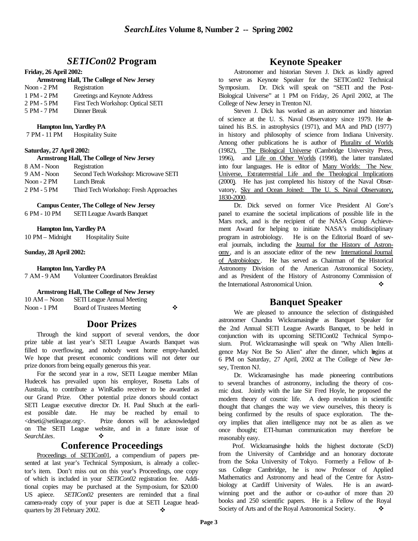## *SETICon02* **Program**

#### **Friday, 26 April 2002:**

#### **Armstrong Hall, The College of New Jersey**

| Noon $-2$ PM | Registration                      |
|--------------|-----------------------------------|
| 1 PM - 2 PM  | Greetings and Keynote Address     |
| 2 PM - 5 PM  | First Tech Workshop: Optical SETI |

5 PM - 7 PM Dinner Break

#### **Hampton Inn, Yardley PA**

| 7 PM - 11 PM | <b>Hospitality Suite</b> |
|--------------|--------------------------|
|--------------|--------------------------|

#### **Saturday, 27 April 2002:**

#### **Armstrong Hall, The College of New Jersey**

| 8 AM - Noon  | Registration                          |
|--------------|---------------------------------------|
| 9 AM - Noon  | Second Tech Workshop: Microwave SETI  |
| Noon $-2$ PM | Lunch Break                           |
| 2 PM - 5 PM  | Third Tech Workshop: Fresh Approaches |

#### **Campus Center, The College of New Jersey**

6 PM - 10 PM SETI League Awards Banquet

#### **Hampton Inn, Yardley PA**

10 PM – Midnight Hospitality Suite

#### **Sunday, 28 April 2002:**

**Hampton Inn, Yardley PA**

7 AM - 9 AM Volunteer Coordinators Breakfast

**Armstrong Hall, The College of New Jersey**

| $10 AM - N$ oon | <b>SETI League Annual Meeting</b> |   |
|-----------------|-----------------------------------|---|
| Noon - 1 PM     | Board of Trustees Meeting         | ❖ |

## **Door Prizes**

Through the kind support of several vendors, the door prize table at last year's SETI League Awards Banquet was filled to overflowing, and nobody went home empty-handed. We hope that present economic conditions will not deter our prize donors from being equally generous this year.

For the second year in a row, SETI League member Milan Hudecek has prevailed upon his employer, Rosetta Labs of Australia, to contribute a WinRadio receiver to be awarded as our Grand Prize. Other potential prize donors should contact SETI League executive director Dr. H. Paul Shuch at the earliest possible date. He may be reached by email to <drseti@setileague.org>. Prize donors will be acknowledged on The SETI League website, and in a future issue of *SearchLites*. ❖

## **Conference Proceedings**

Proceedings of SETICon01, a compendium of papers presented at last year's Technical Symposium, is already a collector's item. Don't miss out on this year's Proceedings, one copy of which is included in your *SETICon02* registration fee. Additional copies may be purchased at the Symposium, for \$20.00 US apiece. *SETICon02* presenters are reminded that a final camera-ready copy of your paper is due at SETI League headquarters by 28 February 2002.

## **Keynote Speaker**

Astronomer and historian Steven J. Dick as kindly agreed to serve as Keynote Speaker for the SETICon02 Technical Symposium. Dr. Dick will speak on "SETI and the Post-Biological Universe" at 1 PM on Friday, 26 April 2002, at The College of New Jersey in Trenton NJ.

Steven J. Dick has worked as an astronomer and historian of science at the U.S. Naval Observatory since 1979. He  $\Phi$ tained his B.S. in astrophysics (1971), and MA and PhD (1977) in history and philosophy of science from Indiana University. Among other publications he is author of Plurality of Worlds (1982), The Biological Universe (Cambridge University Press, 1996), and Life on Other Worlds (1998), the latter translated into four languages. He is editor of Many Worlds: The New Universe, Extraterrestrial Life and the Theological Implications (2000). He has just completed his history of the Naval Observatory, Sky and Ocean Joined: The U. S. Naval Observatory, 1830-2000.

Dr. Dick served on former Vice President Al Gore's panel to examine the societal implications of possible life in the Mars rock, and is the recipient of the NASA Group Achievement Award for helping to initiate NASA's multidisciplinary program in astrobiology. He is on the Editorial Board of several journals, including the Journal for the History of Astronomy, and is an associate editor of the new International Journal of Astrobiology. He has served as Chairman of the Historical Astronomy Division of the American Astronomical Society, and as President of the History of Astronomy Commission of the International Astronomical Union.

## **Banquet Speaker**

We are pleased to announce the selection of distinguished astronomer Chandra Wickramasinghe as Banquet Speaker for the 2nd Annual SETI League Awards Banquet, to be held in conjunction with its upcoming SETICon02 Technical Symposium. Prof. Wickramasinghe will speak on "Why Alien Intelligence May Not Be So Alien" after the dinner, which begins at 6 PM on Saturday, 27 April, 2002 at The College of New Jersey, Trenton NJ.

Dr. Wickramasinghe has made pioneering contributions to several branches of astronomy, including the theory of cosmic dust. Jointly with the late Sir Fred Hoyle, he proposed the modern theory of cosmic life. A deep revolution in scientific thought that changes the way we view ourselves, this theory is being confirmed by the results of space exploration. The theory implies that alien intelligence may not be as alien as we once thought; ETI-human communication may therefore be reasonably easy.

 Prof. Wickramasinghe holds the highest doctorate (ScD) from the University of Cambridge and an honorary doctorate from the Soka University of Tokyo. Formerly a Fellow of Lsus College Cambridge, he is now Professor of Applied Mathematics and Astronomy and head of the Centre for Astrobiology at Cardiff University of Wales. He is an awardwinning poet and the author or co-author of more than 20 books and 250 scientific papers. He is a Fellow of the Royal Society of Arts and of the Royal Astronomical Society.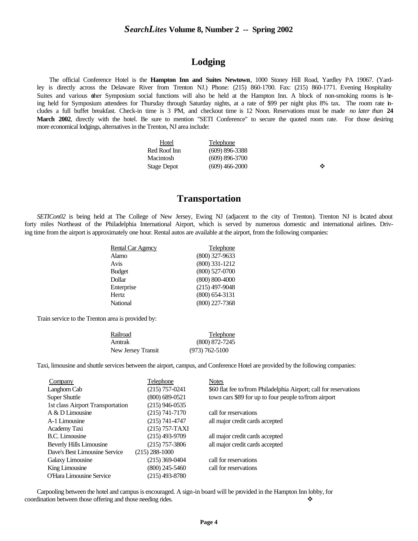# **Lodging**

The official Conference Hotel is the **Hampton Inn and Suites Newtown**, 1000 Stoney Hill Road, Yardley PA 19067. (Yardley is directly across the Delaware River from Trenton NJ.) Phone: (215) 860-1700. Fax: (215) 860-1771. Evening Hospitality Suites and various other Symposium social functions will also be held at the Hampton Inn. A block of non-smoking rooms is being held for Symposium attendees for Thursday through Saturday nights, at a rate of \$99 per night plus 8% tax. The room rate includes a full buffet breakfast. Check-in time is 3 PM, and checkout time is 12 Noon. Reservations must be made *no later than* **24 March 2002**, directly with the hotel. Be sure to mention "SETI Conference" to secure the quoted room rate. For those desiring more economical lodgings, alternatives in the Trenton, NJ area include:

| <b>Hotel</b> | Telephone          |   |
|--------------|--------------------|---|
| Red Roof Inn | $(609)$ 896-3388   |   |
| Macintosh    | $(609) 896 - 3700$ |   |
| Stage Depot  | $(609)$ 466-2000   | ❖ |

**Transportation**

*SETICon02* is being held at The College of New Jersey, Ewing NJ (adjacent to the city of Trenton). Trenton NJ is located about forty miles Northeast of the Philadelphia International Airport, which is served by numerous domestic and international airlines. Driving time from the airport is approximately one hour. Rental autos are available at the airport, from the following companies:

| <b>Rental Car Agency</b> | Telephone        |
|--------------------------|------------------|
| Alamo                    | $(800)$ 327-9633 |
| Avis                     | $(800)$ 331-1212 |
| <b>Budget</b>            | $(800)$ 527-0700 |
| Dollar                   | $(800)$ 800-4000 |
| Enterprise               | $(215)$ 497-9048 |
| Hertz                    | $(800)$ 654-3131 |
| National                 | $(800)$ 227-7368 |

Train service to the Trenton area is provided by:

| Railroad           | Telephone          |
|--------------------|--------------------|
| Amtrak             | $(800)$ 872-7245   |
| New Jersey Transit | $(973) 762 - 5100$ |

Taxi, limousine and shuttle services between the airport, campus, and Conference Hotel are provided by the following companies:

| Company                          | Telephone          | <b>Notes</b>                                                      |
|----------------------------------|--------------------|-------------------------------------------------------------------|
| Langhorn Cab                     | $(215)$ 757-0241   | \$60 flat fee to/from Philadelphia Airport; call for reservations |
| <b>Super Shuttle</b>             | $(800) 689 - 0521$ | town cars \$89 for up to four people to/from airport              |
| 1st class Airport Transportation | $(215)$ 946-0535   |                                                                   |
| $A & D$ Limousine                | $(215) 741 - 7170$ | call for reservations                                             |
| A-1 Limousine                    | $(215) 741 - 4747$ | all major credit cards accepted                                   |
| Academy Taxi                     | (215) 757-TAXI     |                                                                   |
| B.C. Limousine                   | $(215)$ 493-9709   | all major credit cards accepted                                   |
| Beverly Hills Limousine          | $(215)$ 757-3806   | all major credit cards accepted                                   |
| Dave's Best Limousine Service    | $(215)$ 288-1000   |                                                                   |
| Galaxy Limousine                 | $(215)$ 369-0404   | call for reservations                                             |
| King Limousine                   | $(800)$ 245-5460   | call for reservations                                             |
| <b>O'Hara Limousine Service</b>  | (215) 493-8780     |                                                                   |

Carpooling between the hotel and campus is encouraged. A sign-in board will be provided in the Hampton Inn lobby, for coordination between those offering and those needing rides.  $\diamondsuit$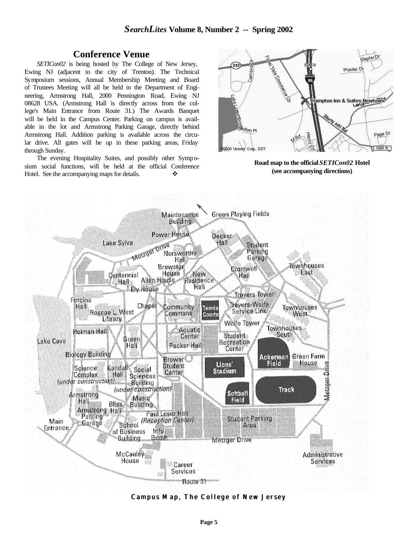## **Conference Venue**

*SETICon02* is being hosted by The College of New Jersey, Ewing NJ (adjacent to the city of Trenton). The Technical Symposium sessions, Annual Membership Meeting and Board of Trustees Meeting will all be held in the Department of Engineering, Armstrong Hall, 2000 Pennington Road, Ewing NJ 08628 USA. (Armstrong Hall is directly across from the college's Main Entrance from Route 31.) The Awards Banquet will be held in the Campus Center. Parking on campus is available in the lot and Armstrong Parking Garage, directly behind Armstrong Hall. Addition parking is available across the circular drive. All gates will be up in these parking areas, Friday through Sunday.

The evening Hospitality Suites, and possibly other Symposium social functions, will be held at the official Conference Hotel. See the accompanying maps for details.  $\bullet$ 



**Road map to the official** *SETICon02* **Hotel (see accompanying directions)**



**Campus Map, The College of New Jersey**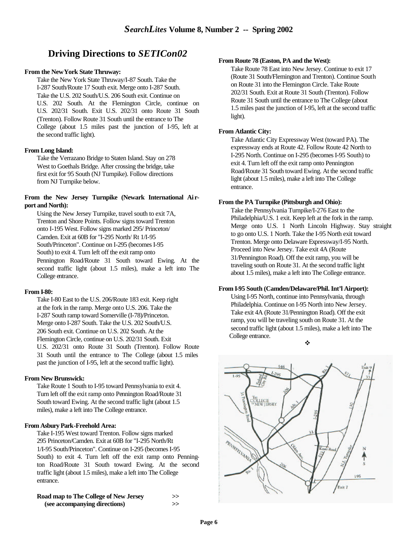# **Driving Directions to** *SETICon02*

#### **From the New York State Thruway:**

Take the New York State Thruway/I-87 South. Take the I-287 South/Route 17 South exit. Merge onto I-287 South. Take the U.S. 202 South/U.S. 206 South exit. Continue on U.S. 202 South. At the Flemington Circle, continue on U.S. 202/31 South. Exit U.S. 202/31 onto Route 31 South (Trenton). Follow Route 31 South until the entrance to The College (about 1.5 miles past the junction of I-95, left at the second traffic light).

#### **From Long Island:**

Take the Verrazano Bridge to Staten Island. Stay on 278 West to Goethals Bridge. After crossing the bridge, take first exit for 95 South (NJ Turnpike). Follow directions from NJ Turnpike below.

#### **From the New Jersey Turnpike (Newark International Ai rport and North):**

Using the New Jersey Turnpike, travel south to exit 7A, Trenton and Shore Points. Follow signs toward Trenton onto I-195 West. Follow signs marked 295/ Princeton/ Camden. Exit at 60B for "I-295 North/ Rt 1/I-95 South/Princeton". Continue on I-295 (becomes I-95 South) to exit 4. Turn left off the exit ramp onto Pennington Road/Route 31 South toward Ewing. At the second traffic light (about 1.5 miles), make a left into The College entrance.

#### **From I-80:**

Take I-80 East to the U.S. 206/Route 183 exit. Keep right at the fork in the ramp. Merge onto U.S. 206. Take the I-287 South ramp toward Somerville (I-78)/Princeton. Merge onto I-287 South. Take the U.S. 202 South/U.S. 206 South exit. Continue on U.S. 202 South. At the Flemington Circle, continue on U.S. 202/31 South. Exit U.S. 202/31 onto Route 31 South (Trenton). Follow Route 31 South until the entrance to The College (about 1.5 miles past the junction of I-95, left at the second traffic light).

#### **From New Brunswick:**

Take Route 1 South to I-95 toward Pennsylvania to exit 4. Turn left off the exit ramp onto Pennington Road/Route 31 South toward Ewing. At the second traffic light (about 1.5 miles), make a left into The College entrance.

#### **From Asbury Park-Freehold Area:**

Take I-195 West toward Trenton. Follow signs marked 295 Princeton/Camden. Exit at 60B for "I-295 North/Rt 1/I-95 South/Princeton". Continue on I-295 (becomes I-95 South) to exit 4. Turn left off the exit ramp onto Pennington Road/Route 31 South toward Ewing. At the second traffic light (about 1.5 miles), make a left into The College entrance.

| Road map to The College of New Jersey | >> |
|---------------------------------------|----|
| (see accompanying directions)         | >> |

#### **From Route 78 (Easton, PA and the West):**

Take Route 78 East into New Jersey. Continue to exit 17 (Route 31 South/Flemington and Trenton). Continue South on Route 31 into the Flemington Circle. Take Route 202/31 South. Exit at Route 31 South (Trenton). Follow Route 31 South until the entrance to The College (about 1.5 miles past the junction of I-95, left at the second traffic light).

#### **From Atlantic City:**

Take Atlantic City Expressway West (toward PA). The expressway ends at Route 42. Follow Route 42 North to I-295 North. Continue on I-295 (becomes I-95 South) to exit 4. Turn left off the exit ramp onto Pennington Road/Route 31 South toward Ewing. At the second traffic light (about 1.5 miles), make a left into The College entrance.

#### **From the PA Turnpike (Pittsburgh and Ohio):**

Take the Pennsylvania Turnpike/I-276 East to the Philadelphia/U.S. 1 exit. Keep left at the fork in the ramp. Merge onto U.S. 1 North Lincoln Highway. Stay straight to go onto U.S. 1 North. Take the I-95 North exit toward Trenton. Merge onto Delaware Expressway/I-95 North. Proceed into New Jersey. Take exit 4A (Route 31/Pennington Road). Off the exit ramp, you will be traveling south on Route 31. At the second traffic light about 1.5 miles), make a left into The College entrance.

#### **From I-95 South (Camden/Delaware/Phil. Int'l Airport):**

Using I-95 North, continue into Pennsylvania, through Philadelphia. Continue on I-95 North into New Jersey. Take exit 4A (Route 31/Pennington Road). Off the exit ramp, you will be traveling south on Route 31. At the second traffic light (about 1.5 miles), make a left into The College entrance. v

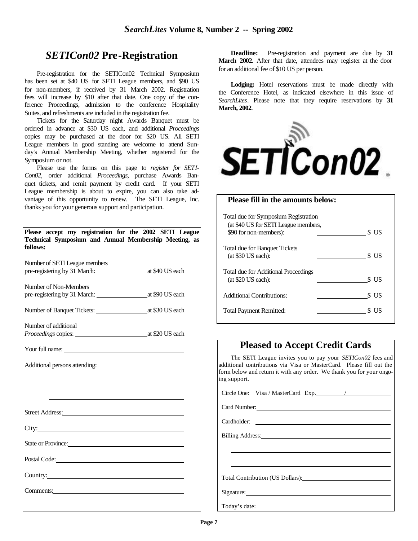# *SETICon02* **Pre-Registration**

Pre-registration for the SETICon02 Technical Symposium has been set at \$40 US for SETI League members, and \$90 US for non-members, if received by 31 March 2002. Registration fees will increase by \$10 after that date. One copy of the conference Proceedings, admission to the conference Hospitality Suites, and refreshments are included in the registration fee.

Tickets for the Saturday night Awards Banquet must be ordered in advance at \$30 US each, and additional *Proceedings* copies may be purchased at the door for \$20 US. All SETI League members in good standing are welcome to attend Sunday's Annual Membership Meeting, whether registered for the Symposium or not.

Please use the forms on this page to *register for SETI-Con02*, order additional *Proceedings*, purchase Awards Banquet tickets, and remit payment by credit card. If your SETI League membership is about to expire, you can also take advantage of this opportunity to renew. The SETI League, Inc. thanks you for your generous support and participation.

| Please accept my registration for the 2002 SETI League<br>Technical Symposium and Annual Membership Meeting, as<br>follows:                                                                                                        |  |
|------------------------------------------------------------------------------------------------------------------------------------------------------------------------------------------------------------------------------------|--|
| Number of SETI League members                                                                                                                                                                                                      |  |
| Number of Non-Members                                                                                                                                                                                                              |  |
|                                                                                                                                                                                                                                    |  |
| Number of additional                                                                                                                                                                                                               |  |
| Your full name:                                                                                                                                                                                                                    |  |
| Additional persons attending:                                                                                                                                                                                                      |  |
|                                                                                                                                                                                                                                    |  |
|                                                                                                                                                                                                                                    |  |
|                                                                                                                                                                                                                                    |  |
| City:                                                                                                                                                                                                                              |  |
| State or Province:                                                                                                                                                                                                                 |  |
|                                                                                                                                                                                                                                    |  |
| Country: 2000 Country:                                                                                                                                                                                                             |  |
| Comments: <u>comments</u> and comments and comments of the series of the series of the series of the series of the series of the series of the series of the series of the series of the series of the series of the series of the |  |

**Deadline:** Pre-registration and payment are due by **31 March 2002**. After that date, attendees may register at the door for an additional fee of \$10 US per person.

Lodging: Hotel reservations must be made directly with the Conference Hotel, as indicated elsewhere in this issue of *SearchLites*. Please note that they require reservations by **31 March, 2002**.



| <b>Please fill in the amounts below:</b>                                     |               |
|------------------------------------------------------------------------------|---------------|
| Total due for Symposium Registration<br>(at \$40 US for SETI League members, |               |
| \$90 for non-members):<br><b>Total due for Banquet Tickets</b>               | S US          |
| $(at $30$ US each):<br><b>Total due for Additional Proceedings</b>           | \$US          |
| (at \$20 US each):<br><b>Additional Contributions:</b>                       | S US<br>\$ US |
| <b>Total Payment Remitted:</b>                                               | S US          |

## **Pleased to Accept Credit Cards**

 The SETI League invites you to pay your *SETICon02* fees and additional contributions via Visa or MasterCard. Please fill out the form below and return it with any order. We thank you for your ongoing support.

Circle One: Visa / MasterCard Exp. /

Card Number:

Cardholder:

Billing Address: 2003

Total Contribution (US Dollars):

Signature:

Today's date: